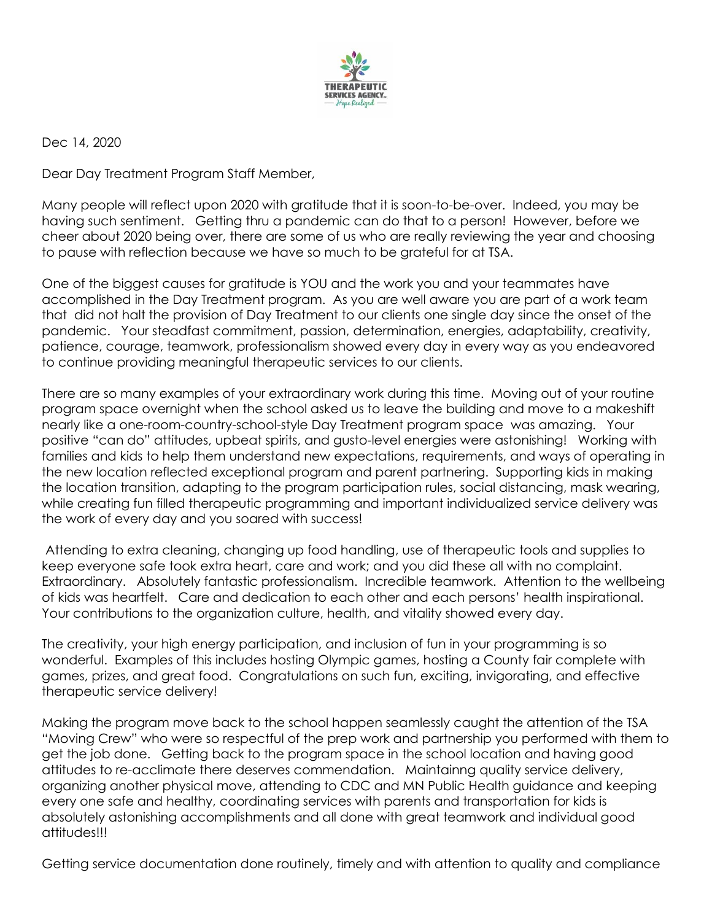

Dec 14, 2020

Dear Day Treatment Program Staff Member,

Many people will reflect upon 2020 with gratitude that it is soon-to-be-over. Indeed, you may be having such sentiment. Getting thru a pandemic can do that to a person! However, before we cheer about 2020 being over, there are some of us who are really reviewing the year and choosing to pause with reflection because we have so much to be grateful for at TSA.

One of the biggest causes for gratitude is YOU and the work you and your teammates have accomplished in the Day Treatment program. As you are well aware you are part of a work team that did not halt the provision of Day Treatment to our clients one single day since the onset of the pandemic. Your steadfast commitment, passion, determination, energies, adaptability, creativity, patience, courage, teamwork, professionalism showed every day in every way as you endeavored to continue providing meaningful therapeutic services to our clients.

There are so many examples of your extraordinary work during this time. Moving out of your routine program space overnight when the school asked us to leave the building and move to a makeshift nearly like a one-room-country-school-style Day Treatment program space was amazing. Your positive "can do" attitudes, upbeat spirits, and gusto-level energies were astonishing! Working with families and kids to help them understand new expectations, requirements, and ways of operating in the new location reflected exceptional program and parent partnering. Supporting kids in making the location transition, adapting to the program participation rules, social distancing, mask wearing, while creating fun filled therapeutic programming and important individualized service delivery was the work of every day and you soared with success!

 Attending to extra cleaning, changing up food handling, use of therapeutic tools and supplies to keep everyone safe took extra heart, care and work; and you did these all with no complaint. Extraordinary. Absolutely fantastic professionalism. Incredible teamwork. Attention to the wellbeing of kids was heartfelt. Care and dedication to each other and each persons' health inspirational. Your contributions to the organization culture, health, and vitality showed every day.

The creativity, your high energy participation, and inclusion of fun in your programming is so wonderful. Examples of this includes hosting Olympic games, hosting a County fair complete with games, prizes, and great food. Congratulations on such fun, exciting, invigorating, and effective therapeutic service delivery!

Making the program move back to the school happen seamlessly caught the attention of the TSA "Moving Crew" who were so respectful of the prep work and partnership you performed with them to get the job done. Getting back to the program space in the school location and having good attitudes to re-acclimate there deserves commendation. Maintainng quality service delivery, organizing another physical move, attending to CDC and MN Public Health guidance and keeping every one safe and healthy, coordinating services with parents and transportation for kids is absolutely astonishing accomplishments and all done with great teamwork and individual good attitudes!!!

Getting service documentation done routinely, timely and with attention to quality and compliance